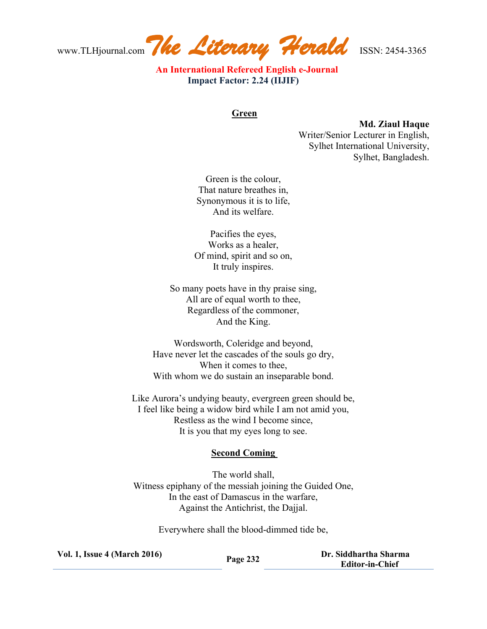www.TLHjournal.com*The Literary Herald*ISSN: 2454-3365

 **An International Refereed English e-Journal Impact Factor: 2.24 (IIJIF)**

## **Green**

## **Md. Ziaul Haque**

Writer/Senior Lecturer in English, Sylhet International University, Sylhet, Bangladesh.

Green is the colour, That nature breathes in, Synonymous it is to life, And its welfare.

Pacifies the eyes, Works as a healer, Of mind, spirit and so on, It truly inspires.

So many poets have in thy praise sing, All are of equal worth to thee, Regardless of the commoner, And the King.

Wordsworth, Coleridge and beyond, Have never let the cascades of the souls go dry, When it comes to thee, With whom we do sustain an inseparable bond.

Like Aurora's undying beauty, evergreen green should be, I feel like being a widow bird while I am not amid you, Restless as the wind I become since, It is you that my eyes long to see.

## **Second Coming**

The world shall, Witness epiphany of the messiah joining the Guided One, In the east of Damascus in the warfare, Against the Antichrist, the Dajjal.

Everywhere shall the blood-dimmed tide be,

| <b>Vol. 1, Issue 4 (March 2016)</b> | Page 232 | Dr. Siddhartha Sharma  |
|-------------------------------------|----------|------------------------|
|                                     |          | <b>Editor-in-Chief</b> |